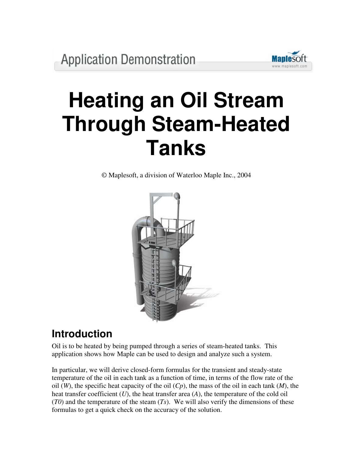

# **Heating an Oil Stream Through Steam-Heated Tanks**

© Maplesoft, a division of Waterloo Maple Inc., 2004



# **Introduction**

Oil is to be heated by being pumped through a series of steam-heated tanks. This application shows how Maple can be used to design and analyze such a system.

In particular, we will derive closed-form formulas for the transient and steady-state temperature of the oil in each tank as a function of time, in terms of the flow rate of the oil (*W*), the specific heat capacity of the oil (*Cp*), the mass of the oil in each tank (*M*), the heat transfer coefficient (*U*), the heat transfer area (*A*), the temperature of the cold oil (*T0*) and the temperature of the steam (*Ts*). We will also verify the dimensions of these formulas to get a quick check on the accuracy of the solution.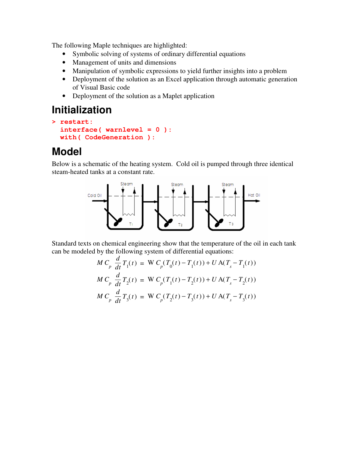The following Maple techniques are highlighted:

- Symbolic solving of systems of ordinary differential equations
- Management of units and dimensions
- Manipulation of symbolic expressions to yield further insights into a problem
- Deployment of the solution as an Excel application through automatic generation of Visual Basic code
- Deployment of the solution as a Maplet application

# **Initialization**

```
> restart:
  interface( warnlevel = 0 ):
  with( CodeGeneration ):
```
# **Model**

Below is a schematic of the heating system. Cold oil is pumped through three identical steam-heated tanks at a constant rate.



Standard texts on chemical engineering show that the temperature of the oil in each tank can be modeled by the following system of differential equations:

$$
M C_p \frac{d}{dt} T_1(t) = W C_p(T_0(t) - T_1(t)) + U A(T_s - T_1(t))
$$
  
\n
$$
M C_p \frac{d}{dt} T_2(t) = W C_p(T_1(t) - T_2(t)) + U A(T_s - T_2(t))
$$
  
\n
$$
M C_p \frac{d}{dt} T_3(t) = W C_p(T_2(t) - T_3(t)) + U A(T_s - T_3(t))
$$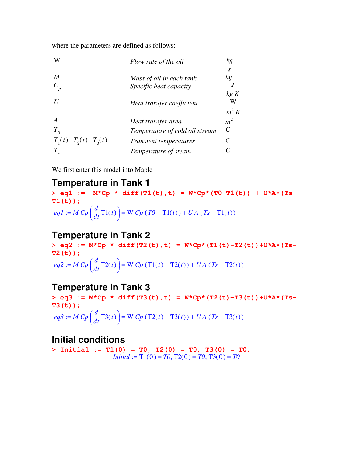where the parameters are defined as follows:

| W                                                    | Flow rate of the oil                                            |                                                |
|------------------------------------------------------|-----------------------------------------------------------------|------------------------------------------------|
| M                                                    | Mass of oil in each tank<br>Specific heat capacity              | S<br>kg                                        |
|                                                      | Heat transfer coefficient                                       | kg K<br>W                                      |
|                                                      | Heat transfer area                                              | $m^2 K$<br>m <sup>2</sup><br>$\mathcal{C}_{0}$ |
| $T^{}_{0}$<br>$T_{1}(t)$<br>$T_{2}(t)$<br>$T_{2}(t)$ | Temperature of cold oil stream<br><i>Transient temperatures</i> |                                                |
| S                                                    | Temperature of steam                                            |                                                |

We first enter this model into Maple

### **Temperature in Tank 1**

**> eq1 := M\*Cp \* diff(T1(t),t) = W\*Cp\*(T0-T1(t)) + U\*A\*(Ts-T1(t));**  $eq1 := M C p \left( \frac{d}{dt} \text{Ti}(t) \right) =$  $\left(\frac{d}{dt}\mathrm{Tl}(t)\right)$  $\left(\frac{d}{dt}\mathrm{Tl}(t)\right)$  $\left[ T_t^\text{T} \text{T1}(t) \right] = \text{W} \cdot Cp \left( T0 - \text{T1}(t) \right) + UA \left( Ts - \text{T1}(t) \right)$ 

### **Temperature in Tank 2**

**> eq2 := M\*Cp \* diff(T2(t),t) = W\*Cp\*(T1(t)-T2(t))+U\*A\*(Ts-T2(t));**  $eq2 := M C p \left( \frac{d}{dt} T 2(t) \right) =$  $\left(\frac{d}{dt}\mathrm{T2}(t)\right)$  $\left(\frac{d}{dt}\right) \text{T2}(t)$  $\left[ \frac{1}{t} T2(t) \right] = W C p (T1(t) - T2(t)) + UA (Ts - T2(t))$ 

### **Temperature in Tank 3**

**> eq3 := M\*Cp \* diff(T3(t),t) = W\*Cp\*(T2(t)-T3(t))+U\*A\*(Ts-T3(t));**  $eq3 := M C p \left( \frac{d}{dt} T 3(t) \right) =$  $\left(\frac{d}{dt}\mathrm{T}3(t)\right)$  $\left(\frac{d}{dt}\right)\text{T3}(t)$  $\left[ T_t^2 \text{T3}(t) \right] = \text{W} \cdot Cp \left( \text{T2}(t) - \text{T3}(t) \right) + UA \left( Ts - \text{T3}(t) \right)$ 

### **Initial conditions**

**> Initial := T1(0) = T0, T2(0) = T0, T3(0) = T0;** *Initial* :=  $T1(0) = T0$ ,  $T2(0) = T0$ ,  $T3(0) = T0$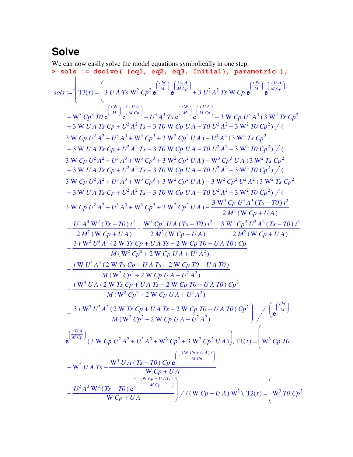# **Solve**

We can now easily solve the model equations symbolically in one step.<br>>  $sols$ : =  $dsolve$  ({eq1, eq2, eq3, Initial}, para

> sols := dsolve ( {eq1, eq2, eq3, Initial}, parameteric );  
\nsols := {
$$
T3(t) = \left(3UATs W^2 Cp^2 e^{\frac{(W)}{M}} e^{\frac{(W)}{M}} e^{\frac{(W)}{M}} e^{\frac{(W)}{M}} + 3U^2 A^2Ts W Cp e^{\frac{(W)}{M}} e^{\frac{(W)}{M}} e^{\frac{(W)}{M}} e^{\frac{(W)}{M}} e^{\frac{(W)}{M}} e^{\frac{(W)}{M}} e^{\frac{(W)}{M}} e^{\frac{(W)}{M}} e^{\frac{(W)}{M}} e^{\frac{(W)}{M}} e^{\frac{(W)}{M}} e^{\frac{(W)}{M}} e^{\frac{(W)}{M}} e^{\frac{(W)}{M}} e^{\frac{(W)}{M}} e^{\frac{(W)}{M}} e^{\frac{(W)}{M}} e^{\frac{(W)}{M}} e^{\frac{(W)}{M}} e^{\frac{(W)}{M}} e^{\frac{(W)}{M}} e^{\frac{(W)}{M}} e^{\frac{(W)}{M}} e^{\frac{(W)}{M}} e^{\frac{(W)}{M}} e^{\frac{(W)}{M}} e^{\frac{(W)}{M}} e^{\frac{(W)}{M}} e^{\frac{(W)}{M}} e^{\frac{(W)}{M}} e^{\frac{(W)}{M}} e^{\frac{(W)}{M}} e^{\frac{(W)}{M}} e^{\frac{(W)}{M}} e^{\frac{(W)}{M}} e^{\frac{(W)}{M}} e^{\frac{(W)}{M}} e^{\frac{(W)}{M}} e^{\frac{(W)}{M}} e^{\frac{(W)}{M}} e^{\frac{(W)}{M}} e^{\frac{(W)}{M}} e^{\frac{(W)}{M}} e^{\frac{(W)}{M}} e^{\frac{(W)}{M}} e^{\frac{(W)}{M}} e^{\frac{(W)}{M}} e^{\frac{(W)}{M}} e^{\frac{(W)}{M}} e^{\frac{(W)}{M}} e^{\frac{(W)}{M}} e^{\frac{(W)}{M}} e^{\frac{(W)}{M}} e^{\frac{(W)}{M}} e^{\frac{(W)}{M}} e^{\frac{(W)}{M}} e^{\frac{(W)}{M}} e^{\frac{(W)}{M}} e^{\frac{(W)}{M}} e^{\frac{(W)}{M}} e^{\frac{(W)}{M}} e^{\frac{(W)}{M}} e^{\frac{(W)}{M}} e^{\frac{(W)}{M}} e^{\frac{(W)}{M}} e^{\frac{(W)}{M
$$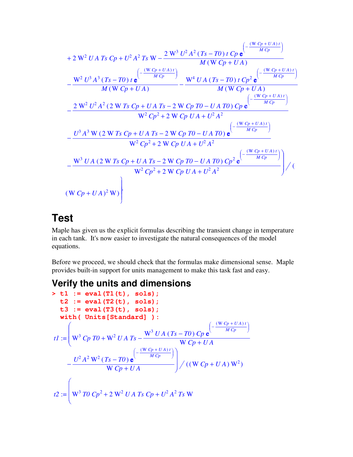$$
+ 2 W^{2} U A T s C p + U^{2} A^{2} T s W - \frac{2 W^{3} U^{2} A^{2} (T s - T 0) t C p e^{-\frac{(W C p + U A)t}{M C p}}}{M (W C p + U A)}
$$
  

$$
- \frac{W^{2} U^{3} A^{3} (T s - T 0) t e^{-\frac{(W C p + U A)t}{M C p}}}{M (W C p + U A)}
$$
  

$$
- \frac{2 W^{2} U^{2} A^{2} (2 W T s C p + U A T s - 2 W C p T 0 - U A T 0) t C p^{2} e^{-\frac{(W C p + U A)t}{M C p}}}{W^{2} C p^{2} + 2 W C p T 0 - U A T 0 C p e^{-\frac{(W C p + U A)t}{M C p}}}
$$
  

$$
- \frac{U^{3} A^{3} W (2 W T s C p + U A T s - 2 W C p T 0 - U A T 0) e^{-\frac{(W C p + U A)t}{M C p}}}{W^{2} C p^{2} + 2 W C p U A + U^{2} A^{2}}
$$
  

$$
- \frac{W^{3} U A (2 W T s C p + U A T s - 2 W C p T 0 - U A T 0) C p^{2} e^{-\frac{(W C p + U A)t}{M C p}}
$$
  

$$
W^{2} C p^{2} + 2 W C p T 0 - U A T 0 C p^{2} e^{-\frac{(W C p + U A)t}{M C p}}
$$
  

$$
W^{2} C p^{2} + 2 W C p U A + U^{2} A^{2}
$$
  

$$
(W C p + U A)^{2} W
$$

# **Test**

Maple has given us the explicit formulas describing the transient change in temperature in each tank. It's now easier to investigate the natural consequences of the model equations.

Before we proceed, we should check that the formulas make dimensional sense. Maple provides built-in support for units management to make this task fast and easy.

## **Verify the units and dimensions**

> t1 := eval(T1(t), sols);  
\nt2 := eval(T2(t), sols);  
\nt3 := eval(T3(t), sols);  
\nwith ( Units[Standard]) :  
\ntl := 
$$
\begin{pmatrix}\nW^3 Cp T0 + W^2 UA Ts - \frac{W^3 UA (Ts - T0) Cp e^{(-\frac{(W Cp + UA)t)}{M Cp)}} \\
W Cp + UA\n\end{pmatrix}
$$
\n
$$
- \frac{U^2 A^2 W^2 (Ts - T0) e^{-\frac{(W Cp + UA)t}{M Cp)}}}{W Cp + UA} / ((W Cp + UA) W^2)
$$
\nt2 := 
$$
\begin{pmatrix}\nW^3 TO Cp^2 + 2 W^2 UA Ts Cp + U^2 A^2 Ts W\n\end{pmatrix}
$$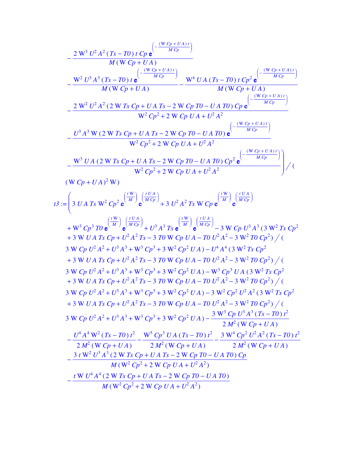$$
-\frac{2 W^3 U^2 A^2 (Ts - T0) t C_P e^{-\frac{(W C_P + U A)t}{M C_P})}}{M (W C_P + U A)}
$$
  
\n
$$
-\frac{W^2 U^3 A^3 (Ts - T0) t e^{-\frac{(W C_P + U A)t}{M C_P})}}{M (W C_P + U A)}
$$
  
\n
$$
-\frac{2 W^2 U^2 A^2 (2 W Ts C_P + U AT_S - 2 W C_P T0 - UAT0) C_P e^{-\frac{(W C_P + UAT)}{M C_P}}}{W^2 C_P^2 + 2 W C_P UA + U^2 A^2}
$$
  
\n
$$
-\frac{U^3 A^3 W (2 W Ts C_P + UAT_S - 2 W C_P T0 - UAT0) e^{-\frac{(W C_P + UAT)}{M C_P}}}{W^2 C_P^2 + 2 W C_P UA + U^2 A^2}
$$
  
\n
$$
-\frac{W^3 U A (2 W Ts C_P + UAT_S - 2 W C_P T0 - UAT0) e^{-\frac{(W C_P + UAT)}{M C_P}}}{W^2 C_P^2 + 2 W C_P UA + U^2 A^2}
$$
  
\n
$$
-\frac{W^3 U A (2 W Ts C_P + UAT_S - 2 W C_P T0 - UAT0) C_P^2 e^{-\frac{(W (P_0 + UAT)}{M C_P}})}{W^2 C_P^2 + 2 W C_P UA + U^2 A^2}
$$
  
\n
$$
(W C_P + U A)^2 W)
$$
  
\n
$$
I3 := \left(3 UAT_S W^2 C_P^2 e^{\frac{W}{M}} e^{\frac{(U A)}{M C_P}}\right) + 3 U^2 A^2 T_S W C_P e^{\frac{W}{M}} e^{\frac{(U A)}{M C_P}} e^{\frac{(U A)}{M C_P}}\right) / (W C_P + U A)^2 T_S C_P^2
$$
  
\n
$$
+ W^3 C_P^3 T0 e^{\frac{W}{M}} e^{\frac{(U A)}{M C_P}} + U^3 A^3 T_S e^{\frac{W}{M}} e^{\frac{(U A)}{M C_P}}\right) - 3 W C_P U^3 A^3 (3 W^2 T_S C_P^2 + 3 W UAT_S C_P + U^2 A^2 T_S - 3 T0 W C_P U A - T0 U^2 A^2 - 3 W^2 T0 C_P^2) / (3 W C_P U^2 A
$$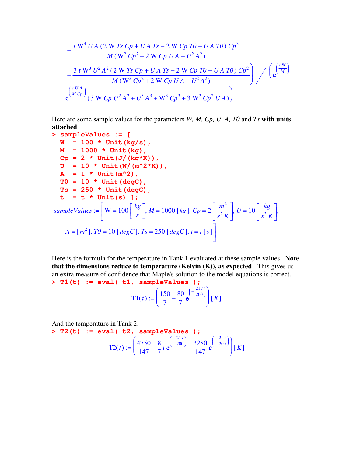$$
-\frac{t W^4 U A (2 W T s C p + U A T s - 2 W C p T0 - U A T0) C p^3}{M (W^2 C p^2 + 2 W C p U A + U^2 A^2)}
$$
  

$$
-\frac{3 t W^3 U^2 A^2 (2 W T s C p + U A T s - 2 W C p T0 - U A T0) C p^2}{M (W^2 C p^2 + 2 W C p U A + U^2 A^2)}
$$

$$
e^{\left(\frac{t U A}{M C p}\right)} (3 W C p U^2 A^2 + U^3 A^3 + W^3 C p^3 + 3 W^2 C p^2 U A)
$$

Here are some sample values for the parameters *W, M, Cp, U, A, T0* and *Ts* **with units attached**.

>\n**sampleValues** := [\n**W** = 100 \* Unit (kg/s),\n**M** = 1000 \* Unit (kg),\n**CP** = 2 \* Unit (J/(kg\*K)),\n**U** = 10 \* Unit (W/(m^2\*K)),\n**A** = 1 \* Unit (m^2),\n**T0** = 10 \* Unit (degC),\n**Ts** = 250 \* Unit (degC),\n**t** = **t** \* Unit (s) ],\n**sampleValues** := [\n**W** = 100] 
$$
\frac{kg}{s}
$$
,  $M = 1000$  [kg],  $Cp = 2 \left[ \frac{m^2}{s^2 K} \right]$ ,  $U = 10 \left[ \frac{kg}{s^3 K} \right]$ ,\n $A = [m^2]$ ,  $T0 = 10$  [degC],  $Ts = 250$  [degC],  $t = t$  [s]

Here is the formula for the temperature in Tank 1 evaluated at these sample values. **Note that the dimensions reduce to temperature (Kelvin (K)), as expected**. This gives us an extra measure of confidence that Maple's solution to the model equations is correct. **> T1(t) := eval( t1, sampleValues );**

$$
\mathbf{T1}(t) := \left(\frac{150}{7} - \frac{80}{7} \mathbf{e}^{-\frac{21t}{200}}\right)[K]
$$

And the temperature in Tank 2: **> T2(t) := eval( t2, sampleValues );**  $T2(t) :=$ ſ  $\overline{\mathcal{L}}$  $\overline{\phantom{a}}$  $\backslash$ J  $\frac{4750}{147} - \frac{8}{7} t e^{-\frac{200}{200}} - \frac{3280}{147} e^{-\frac{200}{200}}$ 147 8  $\frac{1}{7}$ *t* e ſ  $\left(-\frac{21 t}{200}\right)$  $-\frac{21 t}{200}$ ) 3280  $\frac{1288}{147}$  e ſ  $\left(-\frac{21 t}{200}\right)$  $-\frac{21 t}{200}$  $\left| [K] \right|$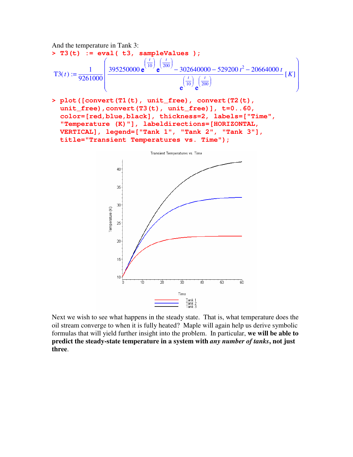

Next we wish to see what happens in the steady state. That is, what temperature does the oil stream converge to when it is fully heated? Maple will again help us derive symbolic formulas that will yield further insight into the problem. In particular, **we will be able to predict the steady-state temperature in a system with** *any number of tanks***, not just three**.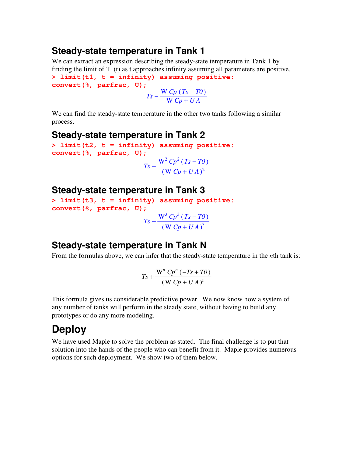## **Steady-state temperature in Tank 1**

We can extract an expression describing the steady-state temperature in Tank 1 by finding the limit of T1(t) as t approaches infinity assuming all parameters are positive. **> limit(t1, t = infinity) assuming positive: convert(%, parfrac, U);**

 $T_s - \frac{W C p (T_s - T0)}{W C_{s} + U A}$  $W C p + U A$ 

We can find the steady-state temperature in the other two tanks following a similar process.

#### **Steady-state temperature in Tank 2**

**> limit(t2, t = infinity) assuming positive: convert(%, parfrac, U);**  $T_s - \frac{W^2 C p^2 (T_s - T0)}{P_s^2}$  $(W C p + U A)^2$ 

#### **Steady-state temperature in Tank 3**

```
> limit(t3, t = infinity) assuming positive:
convert(%, parfrac, U);
                            T_s - \frac{W^3 C p^3 (T_s - T0)}{2}(W Cp + UA)^3
```
# **Steady-state temperature in Tank N**

From the formulas above, we can infer that the steady-state temperature in the *n*th tank is:

$$
Ts + \frac{W^n Cp^n (-Ts + T0)}{(W Cp + UA)^n}
$$

This formula gives us considerable predictive power. We now know how a system of any number of tanks will perform in the steady state, without having to build any prototypes or do any more modeling.

# **Deploy**

We have used Maple to solve the problem as stated. The final challenge is to put that solution into the hands of the people who can benefit from it. Maple provides numerous options for such deployment. We show two of them below.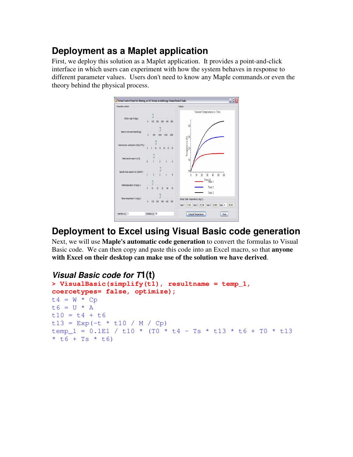# **Deployment as a Maplet application**

First, we deploy this solution as a Maplet application. It provides a point-and-click interface in which users can experiment with how the system behaves in response to different parameter values. Users don't need to know any Maple commands.or even the theory behind the physical process.



# **Deployment to Excel using Visual Basic code generation**

Next, we will use **Maple's automatic code generation** to convert the formulas to Visual Basic code. We can then copy and paste this code into an Excel macro, so that **anyone with Excel on their desktop can make use of the solution we have derived**.

#### *Visual Basic code for T***1(t)**

```
> VisualBasic(simplify(t1), resultname = temp_1,
coercetypes= false, optimize);
t4 = W * Cpt6 = U * At10 = t4 + t6t13 = Exp(-t * t10 / M / Cp)temp 1 = 0.1E1 / t10 * (T0 * t4 - Ts * t13 * t6 + T0 * t13)* t6 + Ts * t6)
```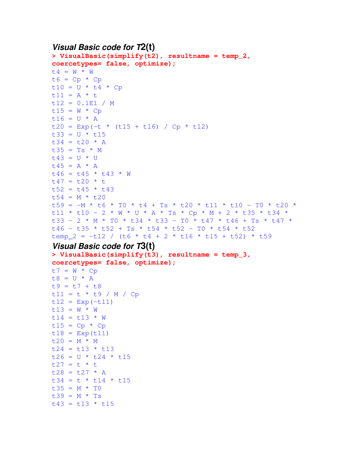#### *Visual Basic code for T***2(t)**

```
> VisualBasic(simplify(t2), resultname = temp_2,
coercetypes= false, optimize);
t4 = W * Wt6 = Cp * Cpt10 = U * t4 * Cpt11 = A * tt12 = 0.1E1 / Mt15 = W * Cpt16 = U * At20 = Exp(-t * (t15 + t16) / Cp * t12)t33 = U * t15t34 = t20 * At35 = Ts * Mt43 = U * Ut45 = A \times At46 = t45 * t43 * Wt47 = t20 * tt52 = t45 * t43t54 = M * t20t59 = -M * t6 * T0 * t4 + Ts * t20 * t11 * t10 - T0 * t20 *t11 * t10 - 2 * W * U * A * Ts * Cp * M + 2 * t35 * t34 *
t33 - 2 * M * T0 * t34 * t33 - T0 * t47 * t46 + Ts * t47 *
t46 - t35 * t52 + Ts * t54 * t52 - T0 * t54 * t52
temp 2 = -t12 / (t6 * t4 + 2 * t16 * t15 + t52) * t59
```
#### *Visual Basic code for T***3(t)**

```
> VisualBasic(simplify(t3), resultname = temp_3,
coercetypes= false, optimize);
t7 = W * Cpt8 = U * At9 = t7 + t8t11 = t * t9 / M / Cpt12 = Exp(-t11)t13 = W * Wt14 = t13 * Wt15 = Cp * Cpt18 = Exp(t11)t20 = M * Mt24 = t13 * t13t26 = U * t24 * t15t27 = t * tt28 = t27 * A
t34 = t * t14 * t15t35 = M * T0t39 = M * TSt43 = t13 * t15
```